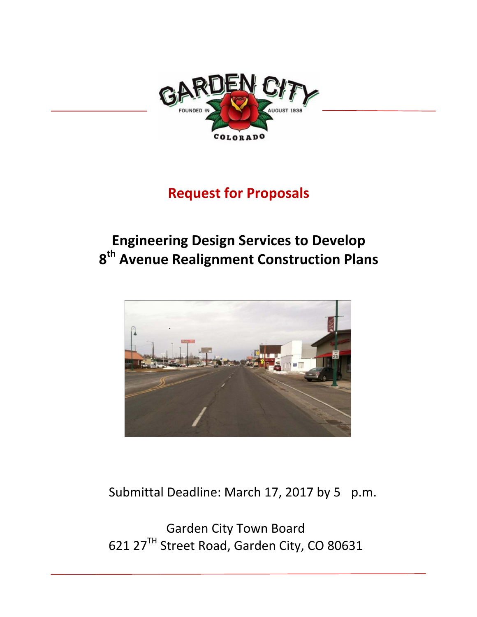

# **Request for Proposals**

# **Engineering Design Services to Develop 8th Avenue Realignment Construction Plans**



Submittal Deadline: March 17, 2017 by 5 p.m.

Garden City Town Board 621 27<sup>TH</sup> Street Road, Garden City, CO 80631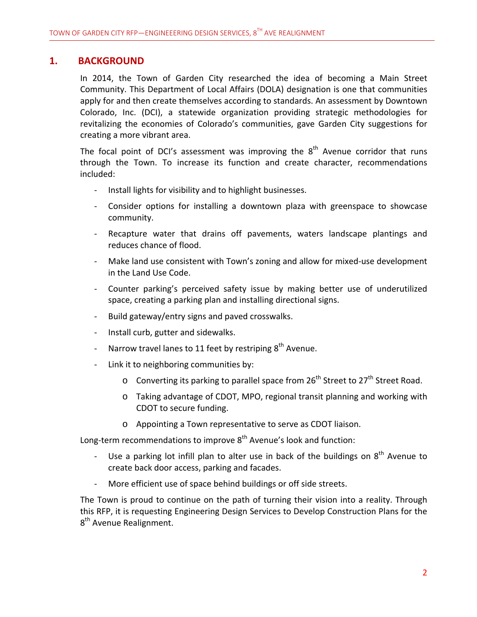## **1. BACKGROUND**

In 2014, the Town of Garden City researched the idea of becoming a Main Street Community. This Department of Local Affairs (DOLA) designation is one that communities apply for and then create themselves according to standards. An assessment by Downtown Colorado, Inc. (DCI), a statewide organization providing strategic methodologies for revitalizing the economies of Colorado's communities, gave Garden City suggestions for creating a more vibrant area.

The focal point of DCI's assessment was improving the  $8<sup>th</sup>$  Avenue corridor that runs through the Town. To increase its function and create character, recommendations included:

- ‐ Install lights for visibility and to highlight businesses.
- ‐ Consider options for installing a downtown plaza with greenspace to showcase community.
- Recapture water that drains off pavements, waters landscape plantings and reduces chance of flood.
- Make land use consistent with Town's zoning and allow for mixed-use development in the Land Use Code.
- ‐ Counter parking's perceived safety issue by making better use of underutilized space, creating a parking plan and installing directional signs.
- ‐ Build gateway/entry signs and paved crosswalks.
- ‐ Install curb, gutter and sidewalks.
- Narrow travel lanes to 11 feet by restriping  $8<sup>th</sup>$  Avenue.
- Link it to neighboring communities by:
	- $\circ$  Converting its parking to parallel space from 26<sup>th</sup> Street to 27<sup>th</sup> Street Road.
	- o Taking advantage of CDOT, MPO, regional transit planning and working with CDOT to secure funding.
	- o Appointing a Town representative to serve as CDOT liaison.

Long-term recommendations to improve 8<sup>th</sup> Avenue's look and function:

- Use a parking lot infill plan to alter use in back of the buildings on  $8<sup>th</sup>$  Avenue to create back door access, parking and facades.
- More efficient use of space behind buildings or off side streets.

The Town is proud to continue on the path of turning their vision into a reality. Through this RFP, it is requesting Engineering Design Services to Develop Construction Plans for the 8<sup>th</sup> Avenue Realignment.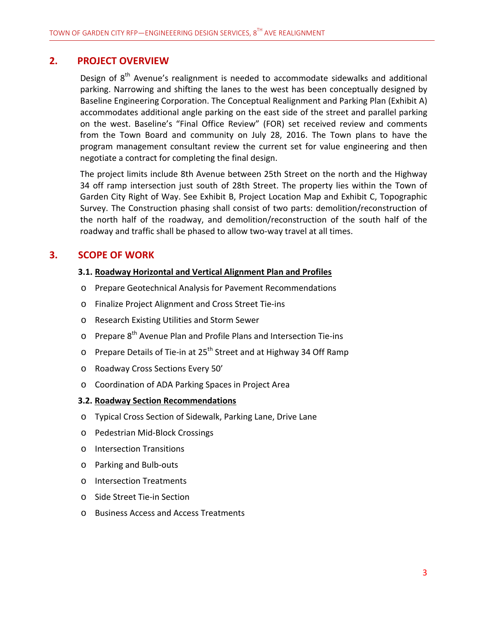## **2. PROJECT OVERVIEW**

Design of  $8<sup>th</sup>$  Avenue's realignment is needed to accommodate sidewalks and additional parking. Narrowing and shifting the lanes to the west has been conceptually designed by Baseline Engineering Corporation. The Conceptual Realignment and Parking Plan (Exhibit A) accommodates additional angle parking on the east side of the street and parallel parking on the west. Baseline's "Final Office Review" (FOR) set received review and comments from the Town Board and community on July 28, 2016. The Town plans to have the program management consultant review the current set for value engineering and then negotiate a contract for completing the final design.

The project limits include 8th Avenue between 25th Street on the north and the Highway 34 off ramp intersection just south of 28th Street. The property lies within the Town of Garden City Right of Way. See Exhibit B, Project Location Map and Exhibit C, Topographic Survey. The Construction phasing shall consist of two parts: demolition/reconstruction of the north half of the roadway, and demolition/reconstruction of the south half of the roadway and traffic shall be phased to allow two-way travel at all times.

# **3. SCOPE OF WORK**

#### **3.1. Roadway Horizontal and Vertical Alignment Plan and Profiles**

- o Prepare Geotechnical Analysis for Pavement Recommendations
- o Finalize Project Alignment and Cross Street Tie‐ins
- o Research Existing Utilities and Storm Sewer
- $\circ$  Prepare 8<sup>th</sup> Avenue Plan and Profile Plans and Intersection Tie-ins
- o Prepare Details of Tie-in at 25<sup>th</sup> Street and at Highway 34 Off Ramp
- o Roadway Cross Sections Every 50'
- o Coordination of ADA Parking Spaces in Project Area

#### **3.2. Roadway Section Recommendations**

- o Typical Cross Section of Sidewalk, Parking Lane, Drive Lane
- o Pedestrian Mid‐Block Crossings
- o Intersection Transitions
- o Parking and Bulb‐outs
- o Intersection Treatments
- o Side Street Tie‐in Section
- o Business Access and Access Treatments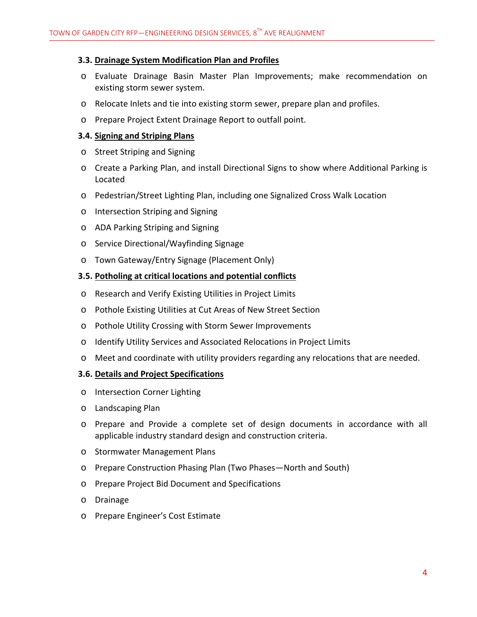#### **3.3. Drainage System Modification Plan and Profiles**

- o Evaluate Drainage Basin Master Plan Improvements; make recommendation on existing storm sewer system.
- o Relocate Inlets and tie into existing storm sewer, prepare plan and profiles.
- o Prepare Project Extent Drainage Report to outfall point.

#### **3.4. Signing and Striping Plans**

- o Street Striping and Signing
- o Create a Parking Plan, and install Directional Signs to show where Additional Parking is Located
- o Pedestrian/Street Lighting Plan, including one Signalized Cross Walk Location
- o Intersection Striping and Signing
- o ADA Parking Striping and Signing
- o Service Directional/Wayfinding Signage
- o Town Gateway/Entry Signage (Placement Only)

#### **3.5. Potholing at critical locations and potential conflicts**

- o Research and Verify Existing Utilities in Project Limits
- o Pothole Existing Utilities at Cut Areas of New Street Section
- o Pothole Utility Crossing with Storm Sewer Improvements
- o Identify Utility Services and Associated Relocations in Project Limits
- o Meet and coordinate with utility providers regarding any relocations that are needed.

#### **3.6. Details and Project Specifications**

- o Intersection Corner Lighting
- o Landscaping Plan
- o Prepare and Provide a complete set of design documents in accordance with all applicable industry standard design and construction criteria.
- o Stormwater Management Plans
- o Prepare Construction Phasing Plan (Two Phases—North and South)
- o Prepare Project Bid Document and Specifications
- o Drainage
- o Prepare Engineer's Cost Estimate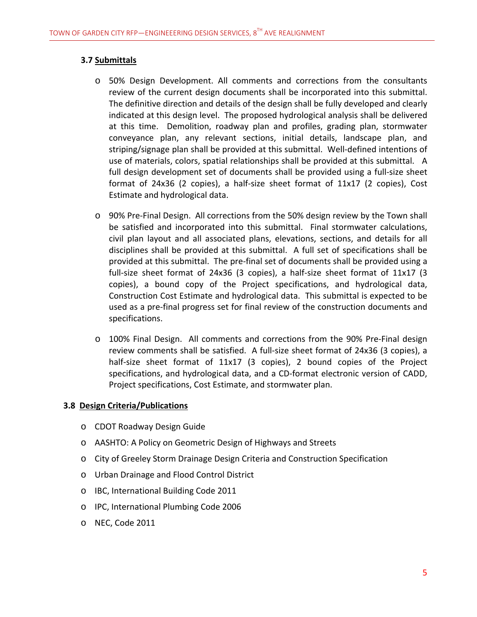### **3.7 Submittals**

- o 50% Design Development. All comments and corrections from the consultants review of the current design documents shall be incorporated into this submittal. The definitive direction and details of the design shall be fully developed and clearly indicated at this design level. The proposed hydrological analysis shall be delivered at this time. Demolition, roadway plan and profiles, grading plan, stormwater conveyance plan, any relevant sections, initial details, landscape plan, and striping/signage plan shall be provided at this submittal. Well‐defined intentions of use of materials, colors, spatial relationships shall be provided at this submittal. A full design development set of documents shall be provided using a full‐size sheet format of 24x36 (2 copies), a half‐size sheet format of 11x17 (2 copies), Cost Estimate and hydrological data.
- o 90% Pre‐Final Design. All corrections from the 50% design review by the Town shall be satisfied and incorporated into this submittal. Final stormwater calculations, civil plan layout and all associated plans, elevations, sections, and details for all disciplines shall be provided at this submittal. A full set of specifications shall be provided at this submittal. The pre‐final set of documents shall be provided using a full‐size sheet format of 24x36 (3 copies), a half‐size sheet format of 11x17 (3 copies), a bound copy of the Project specifications, and hydrological data, Construction Cost Estimate and hydrological data. This submittal is expected to be used as a pre‐final progress set for final review of the construction documents and specifications.
- o 100% Final Design. All comments and corrections from the 90% Pre‐Final design review comments shall be satisfied. A full‐size sheet format of 24x36 (3 copies), a half-size sheet format of 11x17 (3 copies), 2 bound copies of the Project specifications, and hydrological data, and a CD‐format electronic version of CADD, Project specifications, Cost Estimate, and stormwater plan.

#### **3.8 Design Criteria/Publications**

- o CDOT Roadway Design Guide
- o AASHTO: A Policy on Geometric Design of Highways and Streets
- o City of Greeley Storm Drainage Design Criteria and Construction Specification
- o Urban Drainage and Flood Control District
- o IBC, International Building Code 2011
- o IPC, International Plumbing Code 2006
- o NEC, Code 2011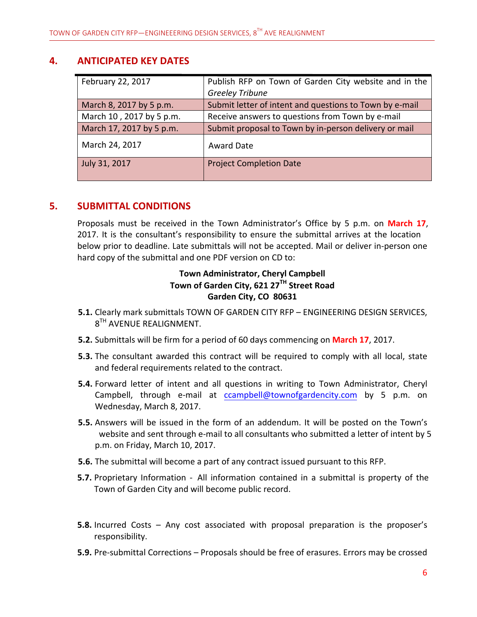## **4. ANTICIPATED KEY DATES**

| February 22, 2017        | Publish RFP on Town of Garden City website and in the   |
|--------------------------|---------------------------------------------------------|
|                          | <b>Greeley Tribune</b>                                  |
| March 8, 2017 by 5 p.m.  | Submit letter of intent and questions to Town by e-mail |
| March 10, 2017 by 5 p.m. | Receive answers to questions from Town by e-mail        |
| March 17, 2017 by 5 p.m. | Submit proposal to Town by in-person delivery or mail   |
| March 24, 2017           | <b>Award Date</b>                                       |
| July 31, 2017            | <b>Project Completion Date</b>                          |
|                          |                                                         |

## **5. SUBMITTAL CONDITIONS**

Proposals must be received in the Town Administrator's Office by 5 p.m. on **March 17**, 2017. It is the consultant's responsibility to ensure the submittal arrives at the location below prior to deadline. Late submittals will not be accepted. Mail or deliver in‐person one hard copy of the submittal and one PDF version on CD to:

# **Town Administrator, Cheryl Campbell Town of Garden City, 621 27TH Street Road Garden City, CO 80631**

- **5.1.** Clearly mark submittals TOWN OF GARDEN CITY RFP ENGINEERING DESIGN SERVICES,  $8^{TH}$  AVENUE REALIGNMENT.
- **5.2.** Submittals will be firm for a period of 60 days commencing on **March 17**, 2017.
- **5.3.** The consultant awarded this contract will be required to comply with all local, state and federal requirements related to the contract.
- **5.4.** Forward letter of intent and all questions in writing to Town Administrator, Cheryl Campbell, through e-mail at ccampbell@townofgardencity.com by 5 p.m. on Wednesday, March 8, 2017.
- **5.5.** Answers will be issued in the form of an addendum. It will be posted on the Town's website and sent through e-mail to all consultants who submitted a letter of intent by 5 p.m. on Friday, March 10, 2017.
- **5.6.** The submittal will become a part of any contract issued pursuant to this RFP.
- **5.7.** Proprietary Information ‐ All information contained in a submittal is property of the Town of Garden City and will become public record.
- **5.8.** Incurred Costs Any cost associated with proposal preparation is the proposer's responsibility.
- **5.9.** Pre‐submittal Corrections Proposals should be free of erasures. Errors may be crossed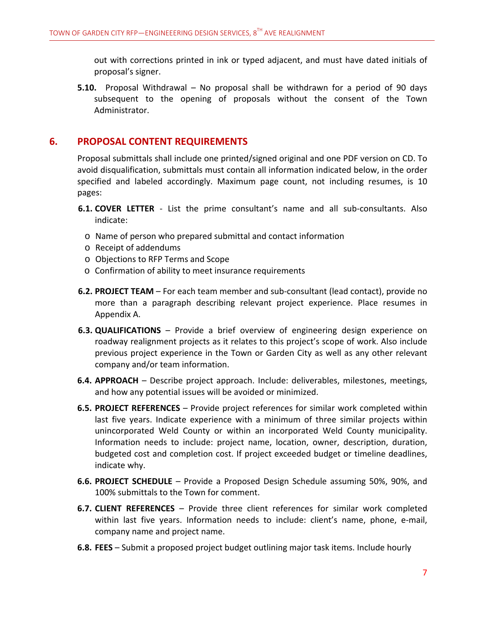out with corrections printed in ink or typed adjacent, and must have dated initials of proposal's signer.

**5.10.** Proposal Withdrawal – No proposal shall be withdrawn for a period of 90 days subsequent to the opening of proposals without the consent of the Town Administrator.

# **6. PROPOSAL CONTENT REQUIREMENTS**

Proposal submittals shall include one printed/signed original and one PDF version on CD. To avoid disqualification, submittals must contain all information indicated below, in the order specified and labeled accordingly. Maximum page count, not including resumes, is 10 pages:

- **6.1. COVER LETTER** ‐ List the prime consultant's name and all sub‐consultants. Also indicate:
	- o Name of person who prepared submittal and contact information
	- o Receipt of addendums
	- o Objections to RFP Terms and Scope
	- o Confirmation of ability to meet insurance requirements
- **6.2. PROJECT TEAM** For each team member and sub‐consultant (lead contact), provide no more than a paragraph describing relevant project experience. Place resumes in Appendix A.
- **6.3. QUALIFICATIONS** Provide a brief overview of engineering design experience on roadway realignment projects as it relates to this project's scope of work. Also include previous project experience in the Town or Garden City as well as any other relevant company and/or team information.
- **6.4. APPROACH** Describe project approach. Include: deliverables, milestones, meetings, and how any potential issues will be avoided or minimized.
- **6.5. PROJECT REFERENCES** Provide project references for similar work completed within last five years. Indicate experience with a minimum of three similar projects within unincorporated Weld County or within an incorporated Weld County municipality. Information needs to include: project name, location, owner, description, duration, budgeted cost and completion cost. If project exceeded budget or timeline deadlines, indicate why.
- **6.6. PROJECT SCHEDULE** Provide a Proposed Design Schedule assuming 50%, 90%, and 100% submittals to the Town for comment.
- **6.7. CLIENT REFERENCES** Provide three client references for similar work completed within last five years. Information needs to include: client's name, phone, e-mail, company name and project name.
- **6.8. FEES** Submit a proposed project budget outlining major task items. Include hourly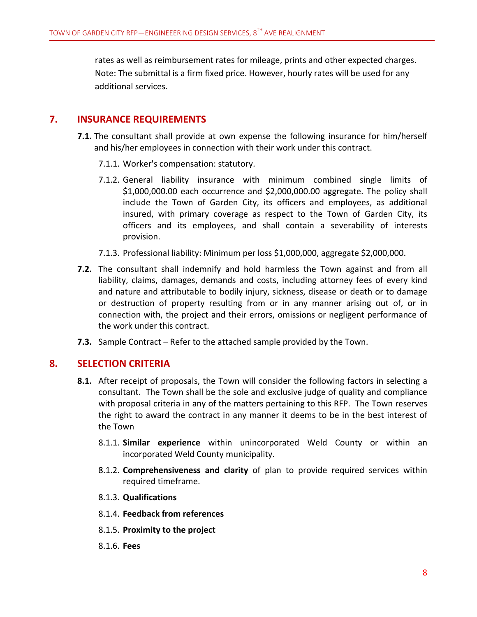rates as well as reimbursement rates for mileage, prints and other expected charges. Note: The submittal is a firm fixed price. However, hourly rates will be used for any additional services.

## **7. INSURANCE REQUIREMENTS**

- **7.1.** The consultant shall provide at own expense the following insurance for him/herself and his/her employees in connection with their work under this contract.
	- 7.1.1. Worker's compensation: statutory.
	- 7.1.2. General liability insurance with minimum combined single limits of \$1,000,000.00 each occurrence and \$2,000,000.00 aggregate. The policy shall include the Town of Garden City, its officers and employees, as additional insured, with primary coverage as respect to the Town of Garden City, its officers and its employees, and shall contain a severability of interests provision.
	- 7.1.3. Professional liability: Minimum per loss \$1,000,000, aggregate \$2,000,000.
- **7.2.** The consultant shall indemnify and hold harmless the Town against and from all liability, claims, damages, demands and costs, including attorney fees of every kind and nature and attributable to bodily injury, sickness, disease or death or to damage or destruction of property resulting from or in any manner arising out of, or in connection with, the project and their errors, omissions or negligent performance of the work under this contract.
- **7.3.** Sample Contract Refer to the attached sample provided by the Town.

## **8. SELECTION CRITERIA**

- **8.1.** After receipt of proposals, the Town will consider the following factors in selecting a consultant. The Town shall be the sole and exclusive judge of quality and compliance with proposal criteria in any of the matters pertaining to this RFP. The Town reserves the right to award the contract in any manner it deems to be in the best interest of the Town
	- 8.1.1. **Similar experience** within unincorporated Weld County or within an incorporated Weld County municipality.
	- 8.1.2. **Comprehensiveness and clarity** of plan to provide required services within required timeframe.
	- 8.1.3. **Qualifications**
	- 8.1.4. **Feedback from references**
	- 8.1.5. **Proximity to the project**
	- 8.1.6. **Fees**